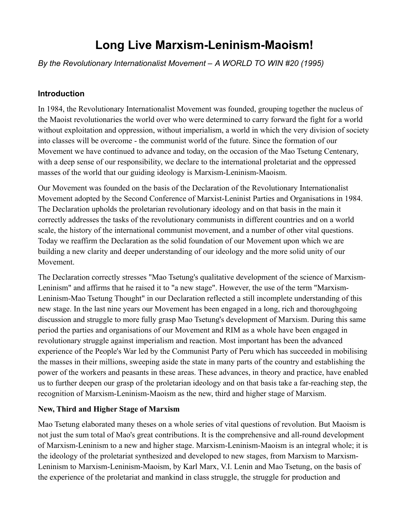# **Long Live Marxism-Leninism-Maoism!**

*By the Revolutionary Internationalist Movement – A WORLD TO WIN #20 (1995)* 

### **Introduction**

In 1984, the Revolutionary Internationalist Movement was founded, grouping together the nucleus of the Maoist revolutionaries the world over who were determined to carry forward the fight for a world without exploitation and oppression, without imperialism, a world in which the very division of society into classes will be overcome - the communist world of the future. Since the formation of our Movement we have continued to advance and today, on the occasion of the Mao Tsetung Centenary, with a deep sense of our responsibility, we declare to the international proletariat and the oppressed masses of the world that our guiding ideology is Marxism-Leninism-Maoism.

Our Movement was founded on the basis of the Declaration of the Revolutionary Internationalist Movement adopted by the Second Conference of Marxist-Leninist Parties and Organisations in 1984. The Declaration upholds the proletarian revolutionary ideology and on that basis in the main it correctly addresses the tasks of the revolutionary communists in different countries and on a world scale, the history of the international communist movement, and a number of other vital questions. Today we reaffirm the Declaration as the solid foundation of our Movement upon which we are building a new clarity and deeper understanding of our ideology and the more solid unity of our Movement.

The Declaration correctly stresses "Mao Tsetung's qualitative development of the science of Marxism-Leninism" and affirms that he raised it to "a new stage". However, the use of the term "Marxism-Leninism-Mao Tsetung Thought" in our Declaration reflected a still incomplete understanding of this new stage. In the last nine years our Movement has been engaged in a long, rich and thoroughgoing discussion and struggle to more fully grasp Mao Tsetung's development of Marxism. During this same period the parties and organisations of our Movement and RIM as a whole have been engaged in revolutionary struggle against imperialism and reaction. Most important has been the advanced experience of the People's War led by the Communist Party of Peru which has succeeded in mobilising the masses in their millions, sweeping aside the state in many parts of the country and establishing the power of the workers and peasants in these areas. These advances, in theory and practice, have enabled us to further deepen our grasp of the proletarian ideology and on that basis take a far-reaching step, the recognition of Marxism-Leninism-Maoism as the new, third and higher stage of Marxism.

#### **New, Third and Higher Stage of Marxism**

Mao Tsetung elaborated many theses on a whole series of vital questions of revolution. But Maoism is not just the sum total of Mao's great contributions. It is the comprehensive and all-round development of Marxism-Leninism to a new and higher stage. Marxism-Leninism-Maoism is an integral whole; it is the ideology of the proletariat synthesized and developed to new stages, from Marxism to Marxism-Leninism to Marxism-Leninism-Maoism, by Karl Marx, V.I. Lenin and Mao Tsetung, on the basis of the experience of the proletariat and mankind in class struggle, the struggle for production and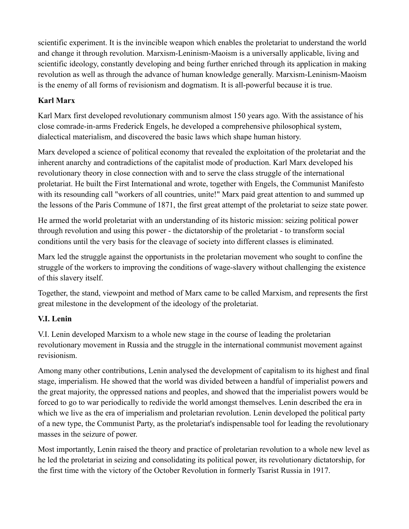scientific experiment. It is the invincible weapon which enables the proletariat to understand the world and change it through revolution. Marxism-Leninism-Maoism is a universally applicable, living and scientific ideology, constantly developing and being further enriched through its application in making revolution as well as through the advance of human knowledge generally. Marxism-Leninism-Maoism is the enemy of all forms of revisionism and dogmatism. It is all-powerful because it is true.

## **Karl Marx**

Karl Marx first developed revolutionary communism almost 150 years ago. With the assistance of his close comrade-in-arms Frederick Engels, he developed a comprehensive philosophical system, dialectical materialism, and discovered the basic laws which shape human history.

Marx developed a science of political economy that revealed the exploitation of the proletariat and the inherent anarchy and contradictions of the capitalist mode of production. Karl Marx developed his revolutionary theory in close connection with and to serve the class struggle of the international proletariat. He built the First International and wrote, together with Engels, the Communist Manifesto with its resounding call "workers of all countries, unite!" Marx paid great attention to and summed up the lessons of the Paris Commune of 1871, the first great attempt of the proletariat to seize state power.

He armed the world proletariat with an understanding of its historic mission: seizing political power through revolution and using this power - the dictatorship of the proletariat - to transform social conditions until the very basis for the cleavage of society into different classes is eliminated.

Marx led the struggle against the opportunists in the proletarian movement who sought to confine the struggle of the workers to improving the conditions of wage-slavery without challenging the existence of this slavery itself.

Together, the stand, viewpoint and method of Marx came to be called Marxism, and represents the first great milestone in the development of the ideology of the proletariat.

## **V.I. Lenin**

V.I. Lenin developed Marxism to a whole new stage in the course of leading the proletarian revolutionary movement in Russia and the struggle in the international communist movement against revisionism.

Among many other contributions, Lenin analysed the development of capitalism to its highest and final stage, imperialism. He showed that the world was divided between a handful of imperialist powers and the great majority, the oppressed nations and peoples, and showed that the imperialist powers would be forced to go to war periodically to redivide the world amongst themselves. Lenin described the era in which we live as the era of imperialism and proletarian revolution. Lenin developed the political party of a new type, the Communist Party, as the proletariat's indispensable tool for leading the revolutionary masses in the seizure of power.

Most importantly, Lenin raised the theory and practice of proletarian revolution to a whole new level as he led the proletariat in seizing and consolidating its political power, its revolutionary dictatorship, for the first time with the victory of the October Revolution in formerly Tsarist Russia in 1917.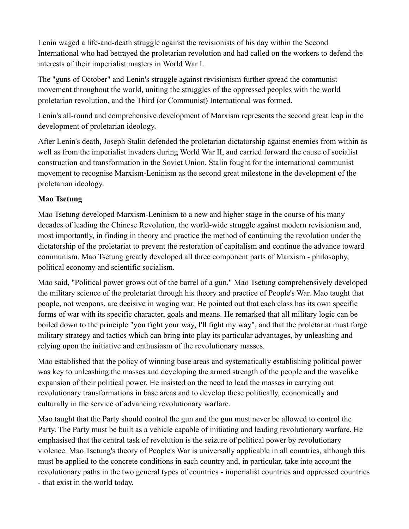Lenin waged a life-and-death struggle against the revisionists of his day within the Second International who had betrayed the proletarian revolution and had called on the workers to defend the interests of their imperialist masters in World War I.

The "guns of October" and Lenin's struggle against revisionism further spread the communist movement throughout the world, uniting the struggles of the oppressed peoples with the world proletarian revolution, and the Third (or Communist) International was formed.

Lenin's all-round and comprehensive development of Marxism represents the second great leap in the development of proletarian ideology.

After Lenin's death, Joseph Stalin defended the proletarian dictatorship against enemies from within as well as from the imperialist invaders during World War II, and carried forward the cause of socialist construction and transformation in the Soviet Union. Stalin fought for the international communist movement to recognise Marxism-Leninism as the second great milestone in the development of the proletarian ideology.

## **Mao Tsetung**

Mao Tsetung developed Marxism-Leninism to a new and higher stage in the course of his many decades of leading the Chinese Revolution, the world-wide struggle against modern revisionism and, most importantly, in finding in theory and practice the method of continuing the revolution under the dictatorship of the proletariat to prevent the restoration of capitalism and continue the advance toward communism. Mao Tsetung greatly developed all three component parts of Marxism - philosophy, political economy and scientific socialism.

Mao said, "Political power grows out of the barrel of a gun." Mao Tsetung comprehensively developed the military science of the proletariat through his theory and practice of People's War. Mao taught that people, not weapons, are decisive in waging war. He pointed out that each class has its own specific forms of war with its specific character, goals and means. He remarked that all military logic can be boiled down to the principle "you fight your way, I'll fight my way", and that the proletariat must forge military strategy and tactics which can bring into play its particular advantages, by unleashing and relying upon the initiative and enthusiasm of the revolutionary masses.

Mao established that the policy of winning base areas and systematically establishing political power was key to unleashing the masses and developing the armed strength of the people and the wavelike expansion of their political power. He insisted on the need to lead the masses in carrying out revolutionary transformations in base areas and to develop these politically, economically and culturally in the service of advancing revolutionary warfare.

Mao taught that the Party should control the gun and the gun must never be allowed to control the Party. The Party must be built as a vehicle capable of initiating and leading revolutionary warfare. He emphasised that the central task of revolution is the seizure of political power by revolutionary violence. Mao Tsetung's theory of People's War is universally applicable in all countries, although this must be applied to the concrete conditions in each country and, in particular, take into account the revolutionary paths in the two general types of countries - imperialist countries and oppressed countries - that exist in the world today.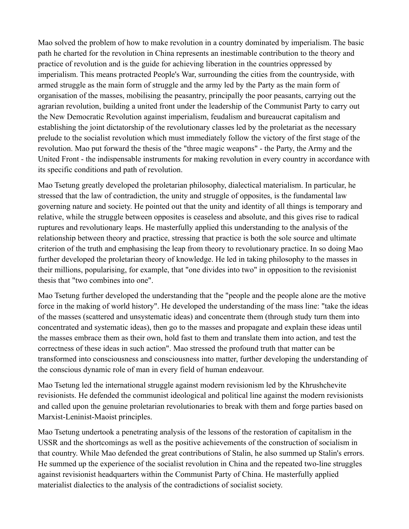Mao solved the problem of how to make revolution in a country dominated by imperialism. The basic path he charted for the revolution in China represents an inestimable contribution to the theory and practice of revolution and is the guide for achieving liberation in the countries oppressed by imperialism. This means protracted People's War, surrounding the cities from the countryside, with armed struggle as the main form of struggle and the army led by the Party as the main form of organisation of the masses, mobilising the peasantry, principally the poor peasants, carrying out the agrarian revolution, building a united front under the leadership of the Communist Party to carry out the New Democratic Revolution against imperialism, feudalism and bureaucrat capitalism and establishing the joint dictatorship of the revolutionary classes led by the proletariat as the necessary prelude to the socialist revolution which must immediately follow the victory of the first stage of the revolution. Mao put forward the thesis of the "three magic weapons" - the Party, the Army and the United Front - the indispensable instruments for making revolution in every country in accordance with its specific conditions and path of revolution.

Mao Tsetung greatly developed the proletarian philosophy, dialectical materialism. In particular, he stressed that the law of contradiction, the unity and struggle of opposites, is the fundamental law governing nature and society. He pointed out that the unity and identity of all things is temporary and relative, while the struggle between opposites is ceaseless and absolute, and this gives rise to radical ruptures and revolutionary leaps. He masterfully applied this understanding to the analysis of the relationship between theory and practice, stressing that practice is both the sole source and ultimate criterion of the truth and emphasising the leap from theory to revolutionary practice. In so doing Mao further developed the proletarian theory of knowledge. He led in taking philosophy to the masses in their millions, popularising, for example, that "one divides into two" in opposition to the revisionist thesis that "two combines into one".

Mao Tsetung further developed the understanding that the "people and the people alone are the motive force in the making of world history". He developed the understanding of the mass line: "take the ideas of the masses (scattered and unsystematic ideas) and concentrate them (through study turn them into concentrated and systematic ideas), then go to the masses and propagate and explain these ideas until the masses embrace them as their own, hold fast to them and translate them into action, and test the correctness of these ideas in such action". Mao stressed the profound truth that matter can be transformed into consciousness and consciousness into matter, further developing the understanding of the conscious dynamic role of man in every field of human endeavour.

Mao Tsetung led the international struggle against modern revisionism led by the Khrushchevite revisionists. He defended the communist ideological and political line against the modern revisionists and called upon the genuine proletarian revolutionaries to break with them and forge parties based on Marxist-Leninist-Maoist principles.

Mao Tsetung undertook a penetrating analysis of the lessons of the restoration of capitalism in the USSR and the shortcomings as well as the positive achievements of the construction of socialism in that country. While Mao defended the great contributions of Stalin, he also summed up Stalin's errors. He summed up the experience of the socialist revolution in China and the repeated two-line struggles against revisionist headquarters within the Communist Party of China. He masterfully applied materialist dialectics to the analysis of the contradictions of socialist society.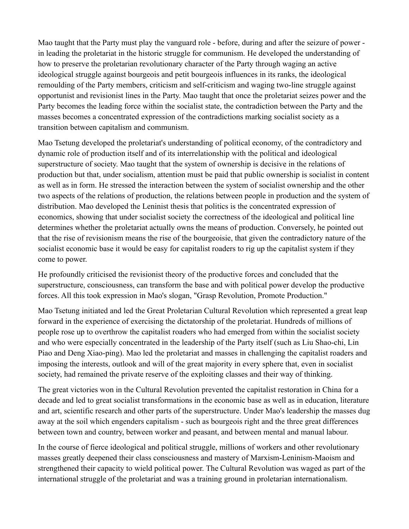Mao taught that the Party must play the vanguard role - before, during and after the seizure of power in leading the proletariat in the historic struggle for communism. He developed the understanding of how to preserve the proletarian revolutionary character of the Party through waging an active ideological struggle against bourgeois and petit bourgeois influences in its ranks, the ideological remoulding of the Party members, criticism and self-criticism and waging two-line struggle against opportunist and revisionist lines in the Party. Mao taught that once the proletariat seizes power and the Party becomes the leading force within the socialist state, the contradiction between the Party and the masses becomes a concentrated expression of the contradictions marking socialist society as a transition between capitalism and communism.

Mao Tsetung developed the proletariat's understanding of political economy, of the contradictory and dynamic role of production itself and of its interrelationship with the political and ideological superstructure of society. Mao taught that the system of ownership is decisive in the relations of production but that, under socialism, attention must be paid that public ownership is socialist in content as well as in form. He stressed the interaction between the system of socialist ownership and the other two aspects of the relations of production, the relations between people in production and the system of distribution. Mao developed the Leninist thesis that politics is the concentrated expression of economics, showing that under socialist society the correctness of the ideological and political line determines whether the proletariat actually owns the means of production. Conversely, he pointed out that the rise of revisionism means the rise of the bourgeoisie, that given the contradictory nature of the socialist economic base it would be easy for capitalist roaders to rig up the capitalist system if they come to power.

He profoundly criticised the revisionist theory of the productive forces and concluded that the superstructure, consciousness, can transform the base and with political power develop the productive forces. All this took expression in Mao's slogan, "Grasp Revolution, Promote Production."

Mao Tsetung initiated and led the Great Proletarian Cultural Revolution which represented a great leap forward in the experience of exercising the dictatorship of the proletariat. Hundreds of millions of people rose up to overthrow the capitalist roaders who had emerged from within the socialist society and who were especially concentrated in the leadership of the Party itself (such as Liu Shao-chi, Lin Piao and Deng Xiao-ping). Mao led the proletariat and masses in challenging the capitalist roaders and imposing the interests, outlook and will of the great majority in every sphere that, even in socialist society, had remained the private reserve of the exploiting classes and their way of thinking.

The great victories won in the Cultural Revolution prevented the capitalist restoration in China for a decade and led to great socialist transformations in the economic base as well as in education, literature and art, scientific research and other parts of the superstructure. Under Mao's leadership the masses dug away at the soil which engenders capitalism - such as bourgeois right and the three great differences between town and country, between worker and peasant, and between mental and manual labour.

In the course of fierce ideological and political struggle, millions of workers and other revolutionary masses greatly deepened their class consciousness and mastery of Marxism-Leninism-Maoism and strengthened their capacity to wield political power. The Cultural Revolution was waged as part of the international struggle of the proletariat and was a training ground in proletarian internationalism.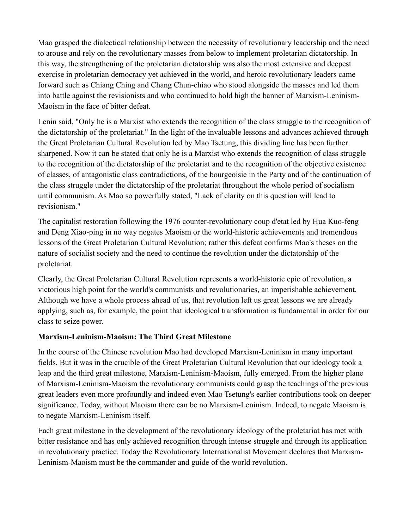Mao grasped the dialectical relationship between the necessity of revolutionary leadership and the need to arouse and rely on the revolutionary masses from below to implement proletarian dictatorship. In this way, the strengthening of the proletarian dictatorship was also the most extensive and deepest exercise in proletarian democracy yet achieved in the world, and heroic revolutionary leaders came forward such as Chiang Ching and Chang Chun-chiao who stood alongside the masses and led them into battle against the revisionists and who continued to hold high the banner of Marxism-Leninism-Maoism in the face of bitter defeat.

Lenin said, "Only he is a Marxist who extends the recognition of the class struggle to the recognition of the dictatorship of the proletariat." In the light of the invaluable lessons and advances achieved through the Great Proletarian Cultural Revolution led by Mao Tsetung, this dividing line has been further sharpened. Now it can be stated that only he is a Marxist who extends the recognition of class struggle to the recognition of the dictatorship of the proletariat and to the recognition of the objective existence of classes, of antagonistic class contradictions, of the bourgeoisie in the Party and of the continuation of the class struggle under the dictatorship of the proletariat throughout the whole period of socialism until communism. As Mao so powerfully stated, "Lack of clarity on this question will lead to revisionism."

The capitalist restoration following the 1976 counter-revolutionary coup d'etat led by Hua Kuo-feng and Deng Xiao-ping in no way negates Maoism or the world-historic achievements and tremendous lessons of the Great Proletarian Cultural Revolution; rather this defeat confirms Mao's theses on the nature of socialist society and the need to continue the revolution under the dictatorship of the proletariat.

Clearly, the Great Proletarian Cultural Revolution represents a world-historic epic of revolution, a victorious high point for the world's communists and revolutionaries, an imperishable achievement. Although we have a whole process ahead of us, that revolution left us great lessons we are already applying, such as, for example, the point that ideological transformation is fundamental in order for our class to seize power.

#### **Marxism-Leninism-Maoism: The Third Great Milestone**

In the course of the Chinese revolution Mao had developed Marxism-Leninism in many important fields. But it was in the crucible of the Great Proletarian Cultural Revolution that our ideology took a leap and the third great milestone, Marxism-Leninism-Maoism, fully emerged. From the higher plane of Marxism-Leninism-Maoism the revolutionary communists could grasp the teachings of the previous great leaders even more profoundly and indeed even Mao Tsetung's earlier contributions took on deeper significance. Today, without Maoism there can be no Marxism-Leninism. Indeed, to negate Maoism is to negate Marxism-Leninism itself.

Each great milestone in the development of the revolutionary ideology of the proletariat has met with bitter resistance and has only achieved recognition through intense struggle and through its application in revolutionary practice. Today the Revolutionary Internationalist Movement declares that Marxism-Leninism-Maoism must be the commander and guide of the world revolution.